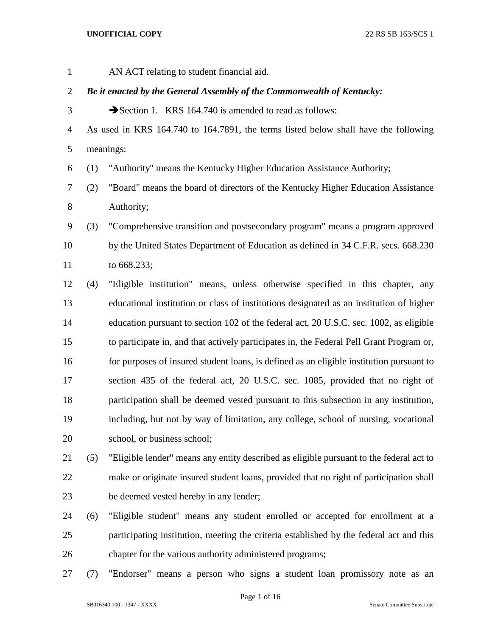AN ACT relating to student financial aid.

# *Be it enacted by the General Assembly of the Commonwealth of Kentucky:*

3 Section 1. KRS 164.740 is amended to read as follows:

 As used in KRS 164.740 to 164.7891, the terms listed below shall have the following meanings:

(1) "Authority" means the Kentucky Higher Education Assistance Authority;

 (2) "Board" means the board of directors of the Kentucky Higher Education Assistance Authority;

 (3) "Comprehensive transition and postsecondary program" means a program approved by the United States Department of Education as defined in 34 C.F.R. secs. 668.230 to 668.233;

- (4) "Eligible institution" means, unless otherwise specified in this chapter, any educational institution or class of institutions designated as an institution of higher education pursuant to section 102 of the federal act, 20 U.S.C. sec. 1002, as eligible to participate in, and that actively participates in, the Federal Pell Grant Program or, for purposes of insured student loans, is defined as an eligible institution pursuant to section 435 of the federal act, 20 U.S.C. sec. 1085, provided that no right of participation shall be deemed vested pursuant to this subsection in any institution, including, but not by way of limitation, any college, school of nursing, vocational school, or business school;
- (5) "Eligible lender" means any entity described as eligible pursuant to the federal act to make or originate insured student loans, provided that no right of participation shall be deemed vested hereby in any lender;
- (6) "Eligible student" means any student enrolled or accepted for enrollment at a participating institution, meeting the criteria established by the federal act and this chapter for the various authority administered programs;
- (7) "Endorser" means a person who signs a student loan promissory note as an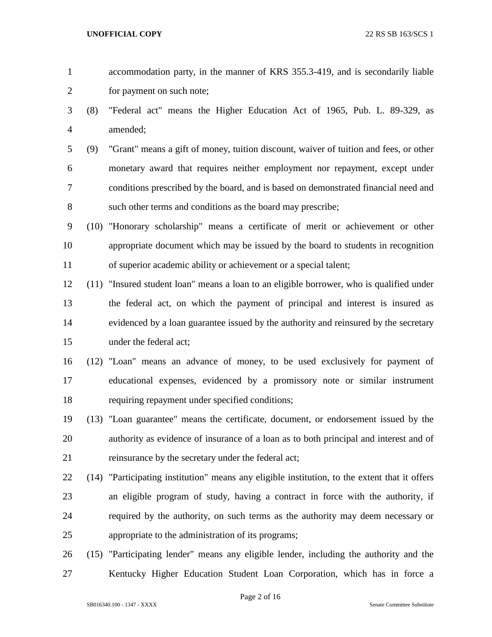- accommodation party, in the manner of KRS 355.3-419, and is secondarily liable for payment on such note;
- (8) "Federal act" means the Higher Education Act of 1965, Pub. L. 89-329, as amended;
- (9) "Grant" means a gift of money, tuition discount, waiver of tuition and fees, or other monetary award that requires neither employment nor repayment, except under conditions prescribed by the board, and is based on demonstrated financial need and such other terms and conditions as the board may prescribe;
- (10) "Honorary scholarship" means a certificate of merit or achievement or other appropriate document which may be issued by the board to students in recognition of superior academic ability or achievement or a special talent;
- (11) "Insured student loan" means a loan to an eligible borrower, who is qualified under the federal act, on which the payment of principal and interest is insured as evidenced by a loan guarantee issued by the authority and reinsured by the secretary under the federal act;
- (12) "Loan" means an advance of money, to be used exclusively for payment of educational expenses, evidenced by a promissory note or similar instrument requiring repayment under specified conditions;
- (13) "Loan guarantee" means the certificate, document, or endorsement issued by the authority as evidence of insurance of a loan as to both principal and interest and of 21 reinsurance by the secretary under the federal act;
- (14) "Participating institution" means any eligible institution, to the extent that it offers an eligible program of study, having a contract in force with the authority, if required by the authority, on such terms as the authority may deem necessary or appropriate to the administration of its programs;
- (15) "Participating lender" means any eligible lender, including the authority and the Kentucky Higher Education Student Loan Corporation, which has in force a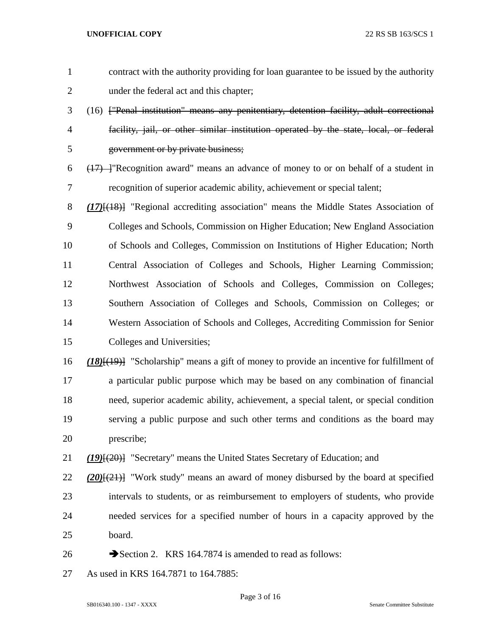contract with the authority providing for loan guarantee to be issued by the authority under the federal act and this chapter; (16) ["Penal institution" means any penitentiary, detention facility, adult correctional facility, jail, or other similar institution operated by the state, local, or federal government or by private business;  $(17)$  "Recognition award" means an advance of money to or on behalf of a student in recognition of superior academic ability, achievement or special talent; *(17)*[(18)] "Regional accrediting association" means the Middle States Association of Colleges and Schools, Commission on Higher Education; New England Association of Schools and Colleges, Commission on Institutions of Higher Education; North Central Association of Colleges and Schools, Higher Learning Commission; Northwest Association of Schools and Colleges, Commission on Colleges; Southern Association of Colleges and Schools, Commission on Colleges; or Western Association of Schools and Colleges, Accrediting Commission for Senior Colleges and Universities; *(18)*[(19)] "Scholarship" means a gift of money to provide an incentive for fulfillment of a particular public purpose which may be based on any combination of financial need, superior academic ability, achievement, a special talent, or special condition serving a public purpose and such other terms and conditions as the board may prescribe; *(19)*[(20)] "Secretary" means the United States Secretary of Education; and *(20)*[(21)] "Work study" means an award of money disbursed by the board at specified intervals to students, or as reimbursement to employers of students, who provide needed services for a specified number of hours in a capacity approved by the board.  $\rightarrow$  Section 2. KRS 164.7874 is amended to read as follows: As used in KRS 164.7871 to 164.7885:

Page 3 of 16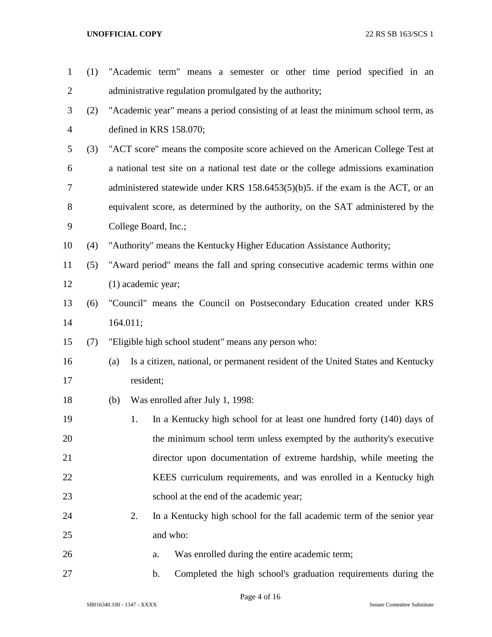| $\mathbf{1}$   | (1) |          | "Academic term" means a semester or other time period specified in an              |  |  |  |
|----------------|-----|----------|------------------------------------------------------------------------------------|--|--|--|
| 2              |     |          | administrative regulation promulgated by the authority;                            |  |  |  |
| 3              | (2) |          | "Academic year" means a period consisting of at least the minimum school term, as  |  |  |  |
| $\overline{4}$ |     |          | defined in KRS 158.070;                                                            |  |  |  |
| 5              | (3) |          | "ACT score" means the composite score achieved on the American College Test at     |  |  |  |
| 6              |     |          | a national test site on a national test date or the college admissions examination |  |  |  |
| 7              |     |          | administered statewide under KRS $158.6453(5)(b)5$ . if the exam is the ACT, or an |  |  |  |
| 8              |     |          | equivalent score, as determined by the authority, on the SAT administered by the   |  |  |  |
| 9              |     |          | College Board, Inc.;                                                               |  |  |  |
| 10             | (4) |          | "Authority" means the Kentucky Higher Education Assistance Authority;              |  |  |  |
| 11             | (5) |          | "Award period" means the fall and spring consecutive academic terms within one     |  |  |  |
| 12             |     |          | $(1)$ academic year;                                                               |  |  |  |
| 13             | (6) |          | "Council" means the Council on Postsecondary Education created under KRS           |  |  |  |
| 14             |     | 164.011; |                                                                                    |  |  |  |
| 15             | (7) |          | "Eligible high school student" means any person who:                               |  |  |  |
| 16             |     | (a)      | Is a citizen, national, or permanent resident of the United States and Kentucky    |  |  |  |
| 17             |     |          | resident;                                                                          |  |  |  |
| 18             |     | (b)      | Was enrolled after July 1, 1998:                                                   |  |  |  |
| 19             |     | 1.       | In a Kentucky high school for at least one hundred forty (140) days of             |  |  |  |
| 20             |     |          | the minimum school term unless exempted by the authority's executive               |  |  |  |
| 21             |     |          | director upon documentation of extreme hardship, while meeting the                 |  |  |  |
| 22             |     |          | KEES curriculum requirements, and was enrolled in a Kentucky high                  |  |  |  |
| 23             |     |          | school at the end of the academic year;                                            |  |  |  |
| 24             |     | 2.       | In a Kentucky high school for the fall academic term of the senior year            |  |  |  |
| 25             |     |          | and who:                                                                           |  |  |  |
| 26             |     |          | Was enrolled during the entire academic term;<br>a.                                |  |  |  |
| 27             |     |          | Completed the high school's graduation requirements during the<br>b.               |  |  |  |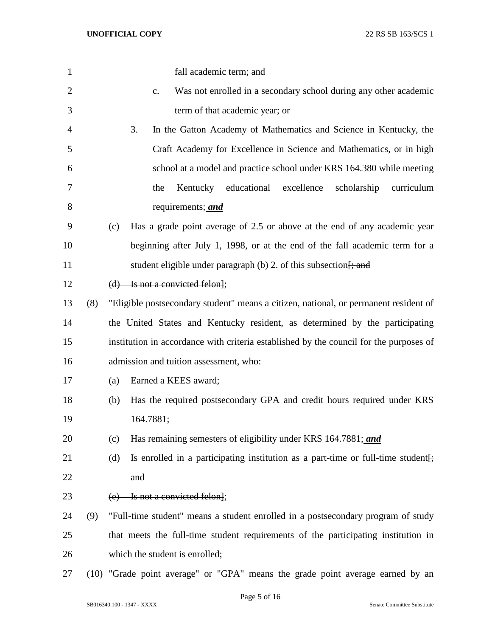| $\mathbf{1}$   |     | fall academic term; and                                                                |
|----------------|-----|----------------------------------------------------------------------------------------|
| $\overline{2}$ |     | Was not enrolled in a secondary school during any other academic<br>c.                 |
| 3              |     | term of that academic year; or                                                         |
| $\overline{4}$ |     | 3.<br>In the Gatton Academy of Mathematics and Science in Kentucky, the                |
| 5              |     | Craft Academy for Excellence in Science and Mathematics, or in high                    |
| 6              |     | school at a model and practice school under KRS 164.380 while meeting                  |
| 7              |     | Kentucky educational<br>excellence<br>the<br>scholarship<br>curriculum                 |
| 8              |     | requirements; <i>and</i>                                                               |
| 9              |     | Has a grade point average of 2.5 or above at the end of any academic year<br>(c)       |
| 10             |     | beginning after July 1, 1998, or at the end of the fall academic term for a            |
| 11             |     | student eligible under paragraph $(b)$ 2. of this subsection $\frac{1}{2}$ and         |
| 12             |     | $(d)$ Is not a convicted felon];                                                       |
| 13             | (8) | "Eligible postsecondary student" means a citizen, national, or permanent resident of   |
| 14             |     | the United States and Kentucky resident, as determined by the participating            |
| 15             |     | institution in accordance with criteria established by the council for the purposes of |
| 16             |     | admission and tuition assessment, who:                                                 |
| 17             |     | Earned a KEES award;<br>(a)                                                            |
| 18             |     | Has the required postsecondary GPA and credit hours required under KRS<br>(b)          |
| 19             |     | 164.7881;                                                                              |
| 20             |     | Has remaining semesters of eligibility under KRS 164.7881; and<br>(c)                  |
| 21             |     | Is enrolled in a participating institution as a part-time or full-time student.<br>(d) |
| 22             |     | and                                                                                    |
| 23             |     | (e) Is not a convicted felon];                                                         |
| 24             | (9) | "Full-time student" means a student enrolled in a postsecondary program of study       |
| 25             |     | that meets the full-time student requirements of the participating institution in      |
| 26             |     | which the student is enrolled;                                                         |
| 27             |     | (10) "Grade point average" or "GPA" means the grade point average earned by an         |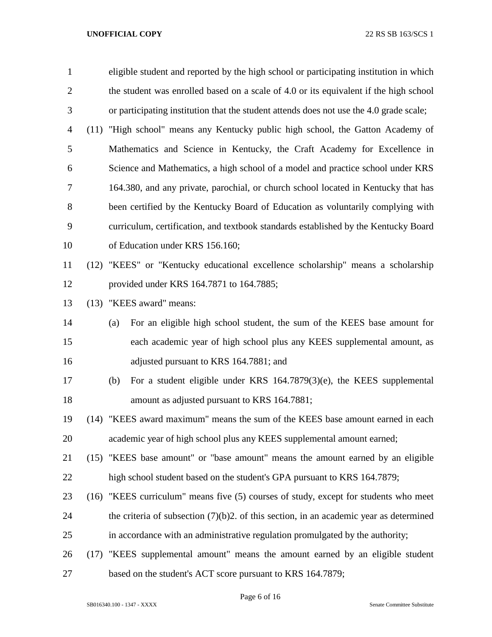| $\mathbf{1}$   |      | eligible student and reported by the high school or participating institution in which    |
|----------------|------|-------------------------------------------------------------------------------------------|
| $\overline{2}$ |      | the student was enrolled based on a scale of 4.0 or its equivalent if the high school     |
| 3              |      | or participating institution that the student attends does not use the 4.0 grade scale;   |
| 4              | (11) | "High school" means any Kentucky public high school, the Gatton Academy of                |
| 5              |      | Mathematics and Science in Kentucky, the Craft Academy for Excellence in                  |
| 6              |      | Science and Mathematics, a high school of a model and practice school under KRS           |
| 7              |      | 164.380, and any private, parochial, or church school located in Kentucky that has        |
| 8              |      | been certified by the Kentucky Board of Education as voluntarily complying with           |
| 9              |      | curriculum, certification, and textbook standards established by the Kentucky Board       |
| 10             |      | of Education under KRS 156.160;                                                           |
| 11             |      | (12) "KEES" or "Kentucky educational excellence scholarship" means a scholarship          |
| 12             |      | provided under KRS 164.7871 to 164.7885;                                                  |
| 13             | (13) | "KEES award" means:                                                                       |
| 14             |      | For an eligible high school student, the sum of the KEES base amount for<br>(a)           |
| 15             |      | each academic year of high school plus any KEES supplemental amount, as                   |
| 16             |      | adjusted pursuant to KRS 164.7881; and                                                    |
| 17             |      | For a student eligible under KRS 164.7879(3)(e), the KEES supplemental<br>(b)             |
| 18             |      | amount as adjusted pursuant to KRS 164.7881;                                              |
| 19             |      | (14) "KEES award maximum" means the sum of the KEES base amount earned in each            |
| 20             |      | academic year of high school plus any KEES supplemental amount earned;                    |
| 21             |      | (15) "KEES base amount" or "base amount" means the amount earned by an eligible           |
| 22             |      | high school student based on the student's GPA pursuant to KRS 164.7879;                  |
| 23             |      | (16) "KEES curriculum" means five (5) courses of study, except for students who meet      |
| 24             |      | the criteria of subsection $(7)(b)2$ . of this section, in an academic year as determined |
| 25             |      | in accordance with an administrative regulation promulgated by the authority;             |
| 26             | (17) | "KEES supplemental amount" means the amount earned by an eligible student                 |
| 27             |      | based on the student's ACT score pursuant to KRS 164.7879;                                |

Page 6 of 16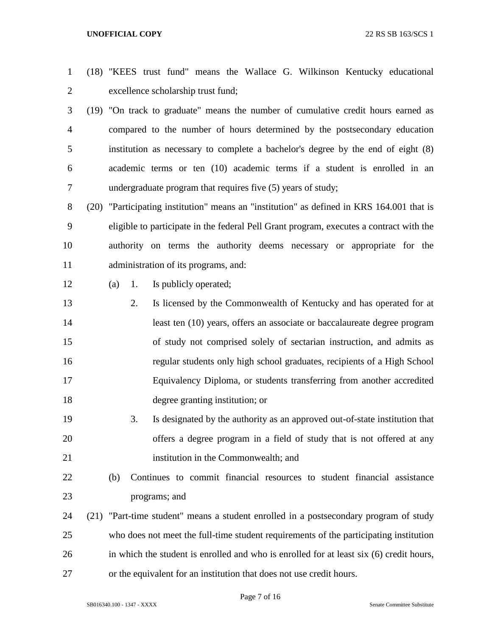- (18) "KEES trust fund" means the Wallace G. Wilkinson Kentucky educational excellence scholarship trust fund;
- (19) "On track to graduate" means the number of cumulative credit hours earned as compared to the number of hours determined by the postsecondary education institution as necessary to complete a bachelor's degree by the end of eight (8) academic terms or ten (10) academic terms if a student is enrolled in an undergraduate program that requires five (5) years of study;
- (20) "Participating institution" means an "institution" as defined in KRS 164.001 that is eligible to participate in the federal Pell Grant program, executes a contract with the authority on terms the authority deems necessary or appropriate for the administration of its programs, and:
- 
- (a) 1. Is publicly operated;
- 2. Is licensed by the Commonwealth of Kentucky and has operated for at least ten (10) years, offers an associate or baccalaureate degree program of study not comprised solely of sectarian instruction, and admits as regular students only high school graduates, recipients of a High School Equivalency Diploma, or students transferring from another accredited degree granting institution; or
- 3. Is designated by the authority as an approved out-of-state institution that offers a degree program in a field of study that is not offered at any institution in the Commonwealth; and
- (b) Continues to commit financial resources to student financial assistance programs; and
- (21) "Part-time student" means a student enrolled in a postsecondary program of study who does not meet the full-time student requirements of the participating institution in which the student is enrolled and who is enrolled for at least six (6) credit hours, or the equivalent for an institution that does not use credit hours.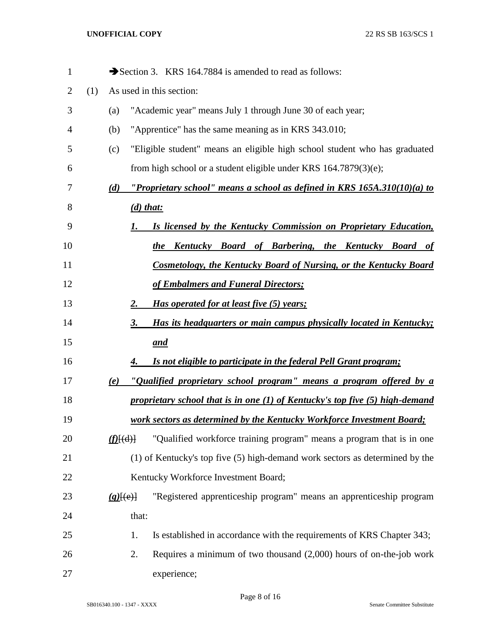| $\mathbf{1}$ |     |               | Section 3. KRS 164.7884 is amended to read as follows:                         |
|--------------|-----|---------------|--------------------------------------------------------------------------------|
| 2            | (1) |               | As used in this section:                                                       |
| 3            |     | (a)           | "Academic year" means July 1 through June 30 of each year;                     |
| 4            |     | (b)           | "Apprentice" has the same meaning as in KRS 343.010;                           |
| 5            |     | (c)           | "Eligible student" means an eligible high school student who has graduated     |
| 6            |     |               | from high school or a student eligible under KRS $164.7879(3)(e)$ ;            |
| 7            |     | (d)           | "Proprietary school" means a school as defined in KRS 165A.310(10)(a) to       |
| 8            |     |               | $(d)$ that:                                                                    |
| 9            |     |               | Is licensed by the Kentucky Commission on Proprietary Education,<br>1.         |
| 10           |     |               | Kentucky Board of Barbering, the Kentucky Board of<br>the                      |
| 11           |     |               | Cosmetology, the Kentucky Board of Nursing, or the Kentucky Board              |
| 12           |     |               | of Embalmers and Funeral Directors;                                            |
| 13           |     |               | Has operated for at least five (5) years;<br>2.                                |
| 14           |     |               | Has its headquarters or main campus physically located in Kentucky;<br>3.      |
| 15           |     |               | and                                                                            |
| 16           |     |               | <u>Is not eligible to participate in the federal Pell Grant program;</u><br>4. |
| 17           |     | (e)           | "Qualified proprietary school program" means a program offered by a            |
| 18           |     |               | proprietary school that is in one (1) of Kentucky's top five (5) high-demand   |
| 19           |     |               | work sectors as determined by the Kentucky Workforce Investment Board;         |
| 20           |     | $(f)$ $\{d\}$ | "Qualified workforce training program" means a program that is in one          |
| 21           |     |               | (1) of Kentucky's top five (5) high-demand work sectors as determined by the   |
| 22           |     |               | Kentucky Workforce Investment Board;                                           |
| 23           |     | $(g)$ [(e)]   | "Registered apprenticeship program" means an apprenticeship program            |
| 24           |     |               | that:                                                                          |
| 25           |     |               | Is established in accordance with the requirements of KRS Chapter 343;<br>1.   |
| 26           |     |               | Requires a minimum of two thousand $(2,000)$ hours of on-the-job work<br>2.    |
| 27           |     |               | experience;                                                                    |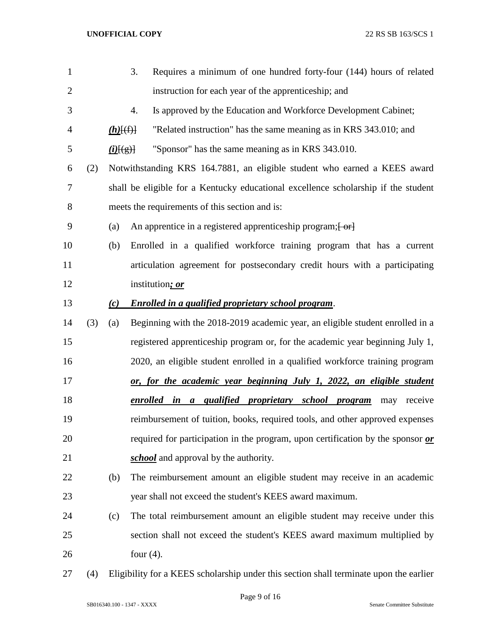| 1              |     |                 | Requires a minimum of one hundred forty-four (144) hours of related<br>3.                      |
|----------------|-----|-----------------|------------------------------------------------------------------------------------------------|
| $\overline{2}$ |     |                 | instruction for each year of the apprenticeship; and                                           |
| 3              |     |                 | Is approved by the Education and Workforce Development Cabinet;<br>4.                          |
| $\overline{4}$ |     | $(h)$ $(f)$     | "Related instruction" has the same meaning as in KRS 343.010; and                              |
| 5              |     | $(i)$ [ $(g)$ ] | "Sponsor" has the same meaning as in KRS 343.010.                                              |
| 6              | (2) |                 | Notwithstanding KRS 164.7881, an eligible student who earned a KEES award                      |
| 7              |     |                 | shall be eligible for a Kentucky educational excellence scholarship if the student             |
| 8              |     |                 | meets the requirements of this section and is:                                                 |
| 9              |     | (a)             | An apprentice in a registered apprenticeship program; [-or]                                    |
| 10             |     | (b)             | Enrolled in a qualified workforce training program that has a current                          |
| 11             |     |                 | articulation agreement for postsecondary credit hours with a participating                     |
| 12             |     |                 | institution; or                                                                                |
| 13             |     | (c)             | <b>Enrolled in a qualified proprietary school program.</b>                                     |
| 14             | (3) | (a)             | Beginning with the 2018-2019 academic year, an eligible student enrolled in a                  |
| 15             |     |                 | registered apprenticeship program or, for the academic year beginning July 1,                  |
| 16             |     |                 | 2020, an eligible student enrolled in a qualified workforce training program                   |
| 17             |     |                 | or, for the academic year beginning July 1, 2022, an eligible student                          |
| 18             |     |                 | enrolled in a qualified proprietary school program<br>receive<br>may                           |
| 19             |     |                 | reimbursement of tuition, books, required tools, and other approved expenses                   |
| 20             |     |                 | required for participation in the program, upon certification by the sponsor $\boldsymbol{or}$ |
| 21             |     |                 | school and approval by the authority.                                                          |
| 22             |     | (b)             | The reimbursement amount an eligible student may receive in an academic                        |
| 23             |     |                 | year shall not exceed the student's KEES award maximum.                                        |
| 24             |     | (c)             | The total reimbursement amount an eligible student may receive under this                      |
| 25             |     |                 | section shall not exceed the student's KEES award maximum multiplied by                        |
| 26             |     |                 | four $(4)$ .                                                                                   |
|                |     |                 |                                                                                                |

(4) Eligibility for a KEES scholarship under this section shall terminate upon the earlier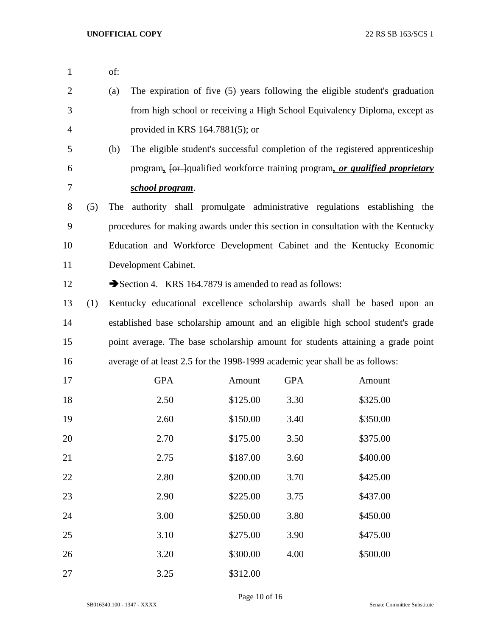| $\mathbf{1}$ |     | of: |                      |                                                                              |            |                                                                                   |  |
|--------------|-----|-----|----------------------|------------------------------------------------------------------------------|------------|-----------------------------------------------------------------------------------|--|
| 2            |     | (a) |                      |                                                                              |            | The expiration of five (5) years following the eligible student's graduation      |  |
| 3            |     |     |                      |                                                                              |            | from high school or receiving a High School Equivalency Diploma, except as        |  |
| 4            |     |     |                      | provided in KRS $164.7881(5)$ ; or                                           |            |                                                                                   |  |
| 5            |     | (b) |                      |                                                                              |            | The eligible student's successful completion of the registered apprenticeship     |  |
| 6            |     |     |                      |                                                                              |            | program, for lqualified workforce training program, or qualified proprietary      |  |
| 7            |     |     | school program.      |                                                                              |            |                                                                                   |  |
| 8            | (5) | The |                      |                                                                              |            | authority shall promulgate administrative regulations establishing the            |  |
| 9            |     |     |                      |                                                                              |            | procedures for making awards under this section in consultation with the Kentucky |  |
| 10           |     |     |                      |                                                                              |            | Education and Workforce Development Cabinet and the Kentucky Economic             |  |
| 11           |     |     | Development Cabinet. |                                                                              |            |                                                                                   |  |
| 12           |     |     |                      | Section 4. KRS 164.7879 is amended to read as follows:                       |            |                                                                                   |  |
| 13           | (1) |     |                      |                                                                              |            | Kentucky educational excellence scholarship awards shall be based upon an         |  |
| 14           |     |     |                      |                                                                              |            | established base scholarship amount and an eligible high school student's grade   |  |
| 15           |     |     |                      |                                                                              |            | point average. The base scholarship amount for students attaining a grade point   |  |
| 16           |     |     |                      | average of at least 2.5 for the 1998-1999 academic year shall be as follows: |            |                                                                                   |  |
| 17           |     |     | <b>GPA</b>           | Amount                                                                       | <b>GPA</b> | Amount                                                                            |  |
| 18           |     |     | 2.50                 | \$125.00                                                                     | 3.30       | \$325.00                                                                          |  |
| 19           |     |     | 2.60                 | \$150.00                                                                     | 3.40       | \$350.00                                                                          |  |
| 20           |     |     | 2.70                 | \$175.00                                                                     | 3.50       | \$375.00                                                                          |  |
| 21           |     |     | 2.75                 | \$187.00                                                                     | 3.60       | \$400.00                                                                          |  |
| 22           |     |     | 2.80                 | \$200.00                                                                     | 3.70       | \$425.00                                                                          |  |
| 23           |     |     | 2.90                 | \$225.00                                                                     | 3.75       | \$437.00                                                                          |  |
| 24           |     |     | 3.00                 | \$250.00                                                                     | 3.80       | \$450.00                                                                          |  |
| 25           |     |     | 3.10                 | \$275.00                                                                     | 3.90       | \$475.00                                                                          |  |
| 26           |     |     | 3.20                 | \$300.00                                                                     | 4.00       | \$500.00                                                                          |  |
| 27           |     |     | 3.25                 | \$312.00                                                                     |            |                                                                                   |  |

Page 10 of 16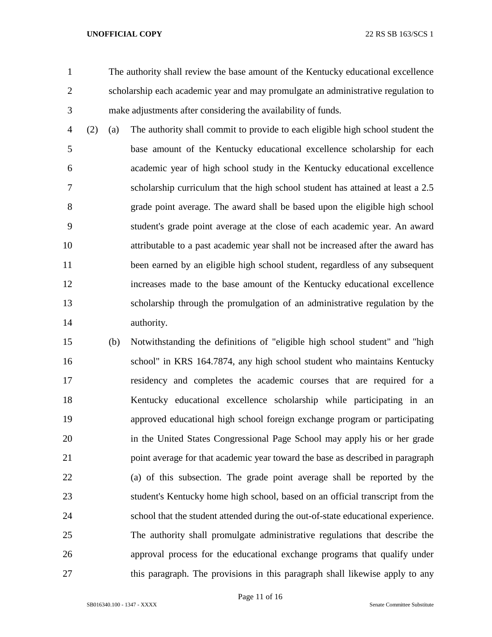The authority shall review the base amount of the Kentucky educational excellence scholarship each academic year and may promulgate an administrative regulation to make adjustments after considering the availability of funds.

 (2) (a) The authority shall commit to provide to each eligible high school student the base amount of the Kentucky educational excellence scholarship for each academic year of high school study in the Kentucky educational excellence scholarship curriculum that the high school student has attained at least a 2.5 grade point average. The award shall be based upon the eligible high school student's grade point average at the close of each academic year. An award attributable to a past academic year shall not be increased after the award has been earned by an eligible high school student, regardless of any subsequent increases made to the base amount of the Kentucky educational excellence scholarship through the promulgation of an administrative regulation by the authority.

 (b) Notwithstanding the definitions of "eligible high school student" and "high school" in KRS 164.7874, any high school student who maintains Kentucky residency and completes the academic courses that are required for a Kentucky educational excellence scholarship while participating in an approved educational high school foreign exchange program or participating in the United States Congressional Page School may apply his or her grade point average for that academic year toward the base as described in paragraph (a) of this subsection. The grade point average shall be reported by the student's Kentucky home high school, based on an official transcript from the school that the student attended during the out-of-state educational experience. The authority shall promulgate administrative regulations that describe the approval process for the educational exchange programs that qualify under this paragraph. The provisions in this paragraph shall likewise apply to any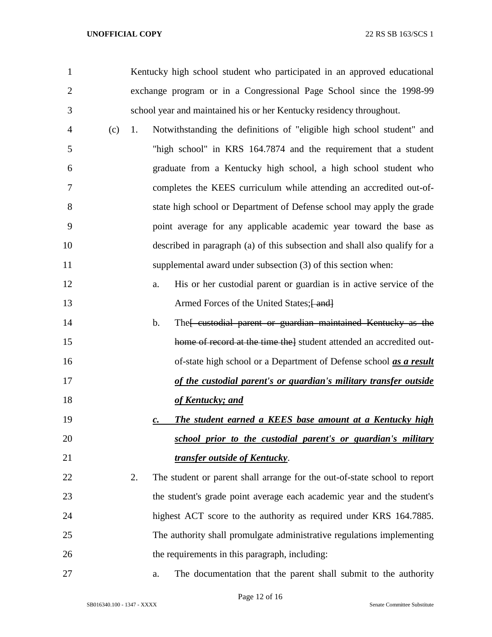exchange program or in a Congressional Page School since the 1998-99 school year and maintained his or her Kentucky residency throughout. (c) 1. Notwithstanding the definitions of "eligible high school student" and "high school" in KRS 164.7874 and the requirement that a student graduate from a Kentucky high school, a high school student who completes the KEES curriculum while attending an accredited out-of- state high school or Department of Defense school may apply the grade point average for any applicable academic year toward the base as described in paragraph (a) of this subsection and shall also qualify for a 11 supplemental award under subsection (3) of this section when: a. His or her custodial parent or guardian is in active service of the 13 Armed Forces of the United States; [414] 14 b. The feustodial parent or guardian maintained Kentucky as the 15 home of record at the time the l student attended an accredited out- of-state high school or a Department of Defense school *as a result of the custodial parent's or guardian's military transfer outside of Kentucky; and c. The student earned a KEES base amount at a Kentucky high school prior to the custodial parent's or guardian's military transfer outside of Kentucky*. 2. The student or parent shall arrange for the out-of-state school to report the student's grade point average each academic year and the student's highest ACT score to the authority as required under KRS 164.7885. The authority shall promulgate administrative regulations implementing the requirements in this paragraph, including: a. The documentation that the parent shall submit to the authority

Kentucky high school student who participated in an approved educational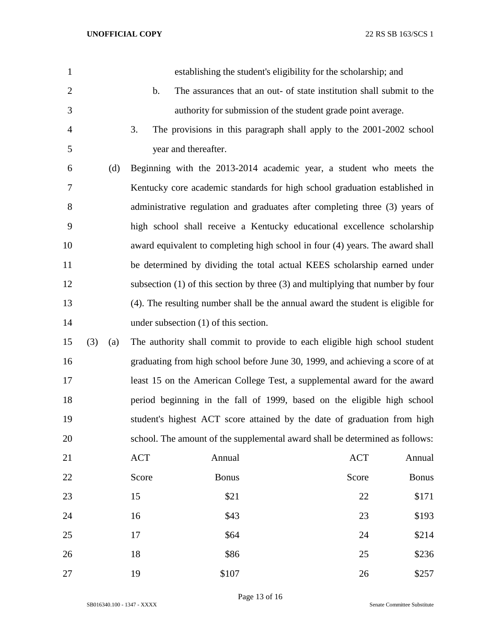| $\mathbf{1}$   |     |     |               | establishing the student's eligibility for the scholarship; and                     |            |              |
|----------------|-----|-----|---------------|-------------------------------------------------------------------------------------|------------|--------------|
| $\mathbf{2}$   |     |     | $\mathbf b$ . | The assurances that an out- of state institution shall submit to the                |            |              |
| 3              |     |     |               | authority for submission of the student grade point average.                        |            |              |
| $\overline{4}$ |     |     | 3.            | The provisions in this paragraph shall apply to the 2001-2002 school                |            |              |
| 5              |     |     |               | year and thereafter.                                                                |            |              |
| 6              |     | (d) |               | Beginning with the 2013-2014 academic year, a student who meets the                 |            |              |
| 7              |     |     |               | Kentucky core academic standards for high school graduation established in          |            |              |
| $8\,$          |     |     |               | administrative regulation and graduates after completing three (3) years of         |            |              |
| 9              |     |     |               | high school shall receive a Kentucky educational excellence scholarship             |            |              |
| 10             |     |     |               | award equivalent to completing high school in four (4) years. The award shall       |            |              |
| 11             |     |     |               | be determined by dividing the total actual KEES scholarship earned under            |            |              |
| 12             |     |     |               | subsection $(1)$ of this section by three $(3)$ and multiplying that number by four |            |              |
| 13             |     |     |               | (4). The resulting number shall be the annual award the student is eligible for     |            |              |
| 14             |     |     |               | under subsection (1) of this section.                                               |            |              |
| 15             | (3) | (a) |               | The authority shall commit to provide to each eligible high school student          |            |              |
| 16             |     |     |               | graduating from high school before June 30, 1999, and achieving a score of at       |            |              |
| 17             |     |     |               | least 15 on the American College Test, a supplemental award for the award           |            |              |
| 18             |     |     |               | period beginning in the fall of 1999, based on the eligible high school             |            |              |
| 19             |     |     |               | student's highest ACT score attained by the date of graduation from high            |            |              |
| 20             |     |     |               | school. The amount of the supplemental award shall be determined as follows:        |            |              |
| 21             |     |     | <b>ACT</b>    | Annual                                                                              | <b>ACT</b> | Annual       |
| 22             |     |     | Score         | <b>Bonus</b>                                                                        | Score      | <b>Bonus</b> |
| 23             |     |     | 15            | \$21                                                                                | 22         | \$171        |
| 24             |     |     | 16            | \$43                                                                                | 23         | \$193        |
| 25             |     |     | 17            | \$64                                                                                | 24         | \$214        |
| 26             |     |     | 18            | \$86                                                                                | 25         | \$236        |
| 27             |     |     | 19            | \$107                                                                               | 26         | \$257        |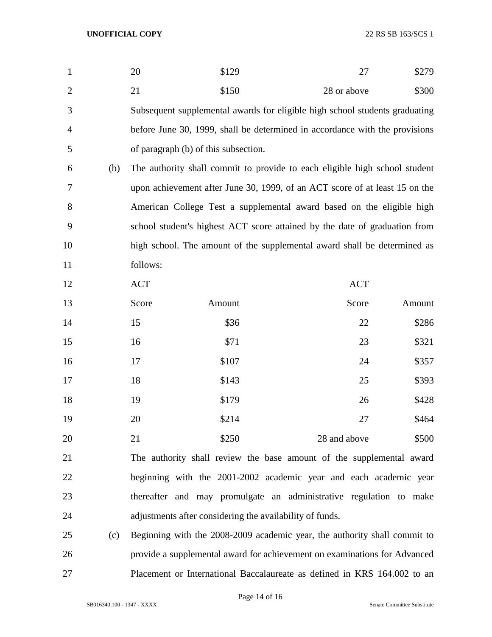| $\mathbf{1}$   |     | 20         | \$129                                |                                                                             | 27         | \$279  |
|----------------|-----|------------|--------------------------------------|-----------------------------------------------------------------------------|------------|--------|
| $\overline{2}$ |     | 21         | \$150                                | 28 or above                                                                 |            | \$300  |
| 3              |     |            |                                      | Subsequent supplemental awards for eligible high school students graduating |            |        |
| 4              |     |            |                                      | before June 30, 1999, shall be determined in accordance with the provisions |            |        |
| 5              |     |            | of paragraph (b) of this subsection. |                                                                             |            |        |
| 6              | (b) |            |                                      | The authority shall commit to provide to each eligible high school student  |            |        |
| 7              |     |            |                                      | upon achievement after June 30, 1999, of an ACT score of at least 15 on the |            |        |
| 8              |     |            |                                      | American College Test a supplemental award based on the eligible high       |            |        |
| 9              |     |            |                                      | school student's highest ACT score attained by the date of graduation from  |            |        |
| 10             |     |            |                                      | high school. The amount of the supplemental award shall be determined as    |            |        |
| 11             |     | follows:   |                                      |                                                                             |            |        |
| 12             |     | <b>ACT</b> |                                      |                                                                             | <b>ACT</b> |        |
| 13             |     | Score      | Amount                               |                                                                             | Score      | Amount |
| 14             |     | 15         | \$36                                 |                                                                             | 22         | \$286  |
| 15             |     | 16         | \$71                                 |                                                                             | 23         | \$321  |
| 16             |     | 17         | \$107                                |                                                                             | 24         | \$357  |
| 17             |     | 18         | \$143                                |                                                                             | 25         | \$393  |
| 18             |     | 19         | \$179                                |                                                                             | 26         | \$428  |
| 19             |     | 20         | \$214                                |                                                                             | 27         | \$464  |
| 20             |     | 21         | \$250                                | 28 and above                                                                |            | \$500  |
| 21             |     |            |                                      | The authority shall review the base amount of the supplemental award        |            |        |
| 22             |     |            |                                      | beginning with the 2001-2002 academic year and each academic year           |            |        |
| 23             |     |            |                                      | thereafter and may promulgate an administrative regulation to make          |            |        |
| 24             |     |            |                                      | adjustments after considering the availability of funds.                    |            |        |
| 25             | (c) |            |                                      | Beginning with the 2008-2009 academic year, the authority shall commit to   |            |        |
| 26             |     |            |                                      | provide a supplemental award for achievement on examinations for Advanced   |            |        |
|                |     |            |                                      |                                                                             |            |        |

Placement or International Baccalaureate as defined in KRS 164.002 to an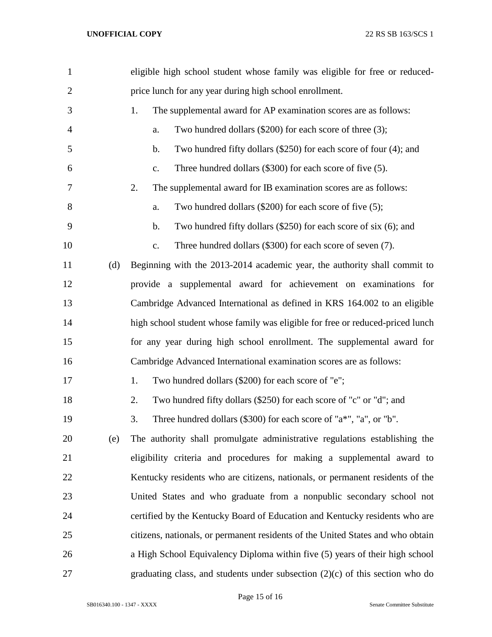| $\mathbf{1}$   | eligible high school student whose family was eligible for free or reduced-     |
|----------------|---------------------------------------------------------------------------------|
| $\overline{c}$ | price lunch for any year during high school enrollment.                         |
| 3              | The supplemental award for AP examination scores are as follows:<br>1.          |
| $\overline{4}$ | Two hundred dollars $(\$200)$ for each score of three $(3)$ ;<br>a.             |
| 5              | Two hundred fifty dollars (\$250) for each score of four (4); and<br>b.         |
| 6              | Three hundred dollars (\$300) for each score of five (5).<br>c.                 |
| 7              | The supplemental award for IB examination scores are as follows:<br>2.          |
| 8              | Two hundred dollars (\$200) for each score of five (5);<br>a.                   |
| 9              | Two hundred fifty dollars $(\$250)$ for each score of six $(6)$ ; and<br>b.     |
| 10             | Three hundred dollars (\$300) for each score of seven (7).<br>$\mathbf{c}$ .    |
| 11<br>(d)      | Beginning with the 2013-2014 academic year, the authority shall commit to       |
| 12             | provide a supplemental award for achievement on examinations for                |
| 13             | Cambridge Advanced International as defined in KRS 164.002 to an eligible       |
| 14             | high school student whose family was eligible for free or reduced-priced lunch  |
| 15             | for any year during high school enrollment. The supplemental award for          |
| 16             | Cambridge Advanced International examination scores are as follows:             |
| 17             | Two hundred dollars (\$200) for each score of "e";<br>1.                        |
| 18             | Two hundred fifty dollars (\$250) for each score of "c" or "d"; and<br>2.       |
| 19             | Three hundred dollars (\$300) for each score of "a*", "a", or "b".<br>3.        |
| 20<br>(e)      | The authority shall promulgate administrative regulations establishing the      |
| 21             | eligibility criteria and procedures for making a supplemental award to          |
| 22             | Kentucky residents who are citizens, nationals, or permanent residents of the   |
| 23             | United States and who graduate from a nonpublic secondary school not            |
| 24             | certified by the Kentucky Board of Education and Kentucky residents who are     |
| 25             | citizens, nationals, or permanent residents of the United States and who obtain |
| 26             | a High School Equivalency Diploma within five (5) years of their high school    |
| 27             | graduating class, and students under subsection $(2)(c)$ of this section who do |

Page 15 of 16